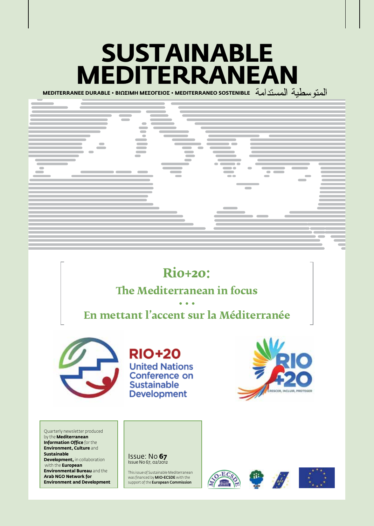# **Sustainable Mediterranean**

**MEDITERRANEE DURABLE • BIΩΣIMH MEΣOΓEIOΣ • MEDITERRANEO SOSTENIBLE** 



## **Rio+20:**

### **The Mediterranean in focus**

### **• • • En mettant l'accent sur la Méditerranée**



**RIO+20 United Nations** Conference on **Sustainable Development** 



Quarterly newsletter produced by the **Mediterranean Information Office** for the **Environment, Culture** and **Sustainable Development, in collaboration**  with the **European Environmental Bureau** and the **Arab NGO Network for Environment and Development**



This issue of Sustainable Mediterranean was financed by **MIO-ECSDE** with the support of the **European Commission** 





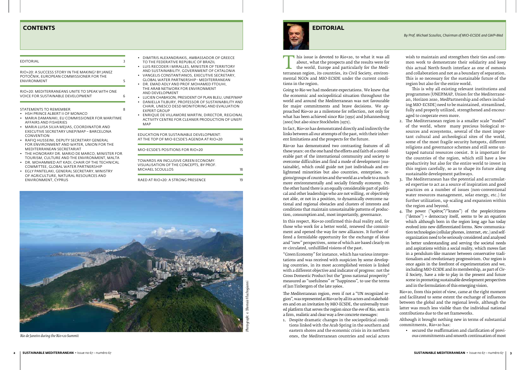This issue is devoted to Rio+20, to what it was all<br>about, what the prospects and the results were for<br>the world, Europe and particularly for the Medi-<br>terranean region, its countries, its Civil Society, environ-<br>mental NG about, what the prospects and the results were for the world, Europe and particularly for the Mediterranean region, its countries, its Civil Society, environmental NGOs and MIO-ECSDE under the current conditions in the region.

Going to Rio we had moderate expectations. We knew that the economic and sociopolitical situation throughout the world and around the Mediterranean was not favourable for major commitments and brave decisions. We approached Rio+20 as a milestone for reflection, not only for what has been achieved since Rio (1992) and Johannesburg (2002) but also since Stockholm (1972).

In fact, Rio+20 has demonstrated directly and indirectly the links between all our attempts of the past, with their inherent limitations and the prospects for the future.

Rio+20 has demonstrated two contrasting features of all these years: on the one hand the efforts and faith of a considerable part of the international community and society to overcome difficulties and find a mode of development (sustainable), which could guide not just individuals and enlightened minorities but also countries, enterprises, regions/groups of countries and the world as a whole to a much more environmentally and socially friendly economy. On the other hand there is an equally considerable part of political and other leaderships who are not willing, or objectively not able, or not in a position, to dynamically overcome national and regional obstacles and clusters of interests and conditions that maintain unsustainable patterns of production, consumption and, most importantly, governance.

In this respect, Rio+20 confirmed this dual reality and, for those who work for a better world, renewed the commitment and opened the way for new alliances. It further offered a formidable opportunity for the exchange of ideas and "new" perspectives, some of which are based clearly on re-circulated, unfulfilled visions of the past.

"Green Economy" for instance, which has various interpretations and was received with suspicion by some developing countries, in its most accomplished version is linked with a different objective and indicator of progress: not the Gross Domestic Product but the "gross national prosperity" measured as "usefulness" or "happiness", to use the terms of Jan Tinbergen of the late 1960s.

The Mediterranean region, even if not a "UN recognized region", was represented at Rio+20 by all its actors and stakeholders and on an invitation by MIO-ECSDE, the universally trusted platform that serves the region since the eve of Rio, sent in a firm, realistic and clear way a few concrete messages:

1. Despite dramatic changes in the sociopolitical conditions linked with the Arab Spring in the southern and eastern shores and the economic crisis in its northern ones, the Mediterranean countries and social actors

wish to maintain and strengthen their ties and common work to demonstrate their solidarity and keep this actual North-South interface as one of osmosis and collaboration and not as a boundary of separation. This is so necessary for the sustainable future of the region but also for the entire world.

- DR. MOHAMMED AIT KADI, CHAIR OF THE TECHNICAL Committee, Global Water Partnership
- • Egly Pantelaki, General Secretary, Ministry of Agriculture, Natural resources and Environment, Cyprus
- IS ALEXANDRAKIS, AMBASSADOR OF GREECE FEDERATIVE REPUBLIC OF BRAZIL
- **ECODER I MIRALLES, MINISTER OF TERRITORY**
- USTAINABILITY, GOVERNMENT OF CATALONIA LIS CONSTANTIANOS, EXECUTIVE SECRETARY, L WATER PARTNERSHIP - MEDITERRANEAN
- **IAD ADLY AND PROF.MOHAMED FTOUHI,** RAB NETWORK FOR ENVIRONMENT **EVELOPMENT**
- **CHABASON, PRESIDENT OF PLAN BLEU, UNEP/MAP**
- LLA TILBURY, PROFESSOR OF SUSTAINABILITY AND UNESCO DESD MONITORING AND EVALUATION **GROUP**
- UE DE VILLAMORE MARTIN, DIRECTOR, REGIONAL TY CENTRE FOR CLEANER PRODUCTION OF UNEP/

This is why all existing relevant institutions and programmes (UNEP/MAP, Union for the Mediterranean, Horizon 2020, MedPartnership and others including MIO-ECSDE) need to be maintained, streamlined, fully and properly utilized, strengthened and encouraged to cooperate even more.

| <b>EDITORIAL</b>                                                                                                                                                               | <b>DIMITR</b><br>3<br><b>TO THE</b>                                    |
|--------------------------------------------------------------------------------------------------------------------------------------------------------------------------------|------------------------------------------------------------------------|
| RIO+20: A SUCCESS STORY IN THE MAKING? BY JANEZ<br>POTOČNIK, EUROPEAN COMMISSIONER FOR THE<br><b>ENVIRONMENT</b>                                                               | LUIS RE<br>AND SL<br>• VANGE<br><b>GLOBA</b><br>5<br>DR. EM            |
| RIO+20: MEDITERRANEANS UNITE TO SPEAK WITH ONE<br><b>VOICE FOR SUSTAINABLE DEVELOPMENT</b>                                                                                     | THE AR<br>AND DE<br>6<br><b>LUCIEN</b><br>DANIEL                       |
| STATEMENTS TO REMEMBER<br>HSH PRINCE ALBERT II OF MONACO<br>MARIA DAMANAKI, EU COMMISSIONER FOR MARITIME<br>AFFAIRS AND FISHERIES<br>MARIA LUISA SILVA MEJIAS, COORDINATOR AND | CHAIR.<br>8<br><b>EXPERT</b><br><b>ENRIQI</b><br><b>ACTIVIT</b><br>MAP |
| EXECUTIVE SECRETARY UNEP/MAP - BARCELONA<br><b>CONVENTION</b><br>RAFIO HUSSEINI, DEPUTY SECRETARY GENERAL                                                                      | <b>EDUCATIC</b><br>AT THE TC                                           |
| FOR ENVIRONMENT AND WATER, UNION FOR THE<br>MEDITERRANEAN SECRETARIAT<br>THE HONORARY DR. MARIO DE MARCO, MINISTER FOR                                                         | MIO-ECSD                                                               |
| TOURISM, CULTURE AND THE ENVIRONMENT, MALTA                                                                                                                                    | $T$ $\cap$ $\cup$ $\cap$ $\cap$ $\cap$                                 |

# *Photograph: © Thomais Vlachogianni* ais Vlacho  $\circ$  Thom

- 2. The Mediterranean region is a smaller scale "model" of the world, where many precious biological resources and ecosystems, several of the most important cultural and archeological sites of the world, some of the most fragile security hotspots, different religions and governance schemes and still some untapped natural resources coexist. It is important for the countries of the region, which still have a low productivity but also for the entire world to invest in this region carefully, so as to shape its future along sustainable development pathways.
- 3. The Mediterranean has the potential and accumulated expertise to act as a source of inspiration and good practices on a number of issues (non-conventional water resources management, solar energy, etc.) for further utilization, up-scaling and expansion within the region and beyond.
- 4. The power ("κράτος"/"kratos") of the people/citizens ("demos") = democracy itself, seems to be an equation which although born in the region long ago has today evolved into new differentiated forms. New communication technologies (cellular phones, internet, etc.) and selforganization need to be seriously considered and analysed in better understanding and serving the societal needs and aspirations within a social reality, which moves fast in a pendulum-like manner between conservative traditionalism and revolutionary progressivism. Our region is once again in the forefront of experimentation and we, including MIO-ECSDE and its membership, as part of Civil Society, have a role to play in the present and future scene in promoting sustainable development perspectives and in the formulation of this emerging vision.

Rio+20, from this point of view, came at the right moment and facilitated to some extent the exchange of influences between the global and the regional levels, although the latter was much less visible than the individual national contributions due to the set frameworks.

Although it brought nothing new in terms of substantial commitments, Rio+20 has:

• secured the reaffirmation and clarification of previous commitments and smooth continuation of most

| EDUCATION FOR SUSTAINABLE DEVELOPMENT:<br>AT THE TOP OF MIO-ECSDE'S AGENDA AT RIO+20               | 14 |
|----------------------------------------------------------------------------------------------------|----|
| MIO-ECSDE'S POSITIONS FOR RIO+20                                                                   | 15 |
| TOWARDS AN INCLUSIVE GREEN ECONOMY:<br>VISUALISATION OF THE CONCEPTS. BY PROF.<br>MICHAEL SCOULLOS | 18 |
| RAED AT RIO+20: A STRONG PRESENCE                                                                  | 19 |

## **CONTENTS EDITORIAL**

*By Prof. Michael Scoullos, Chairman of MIO-ECSDE and GWP-Med* 



*Rio de Janeiro during the Rio+20 Summit*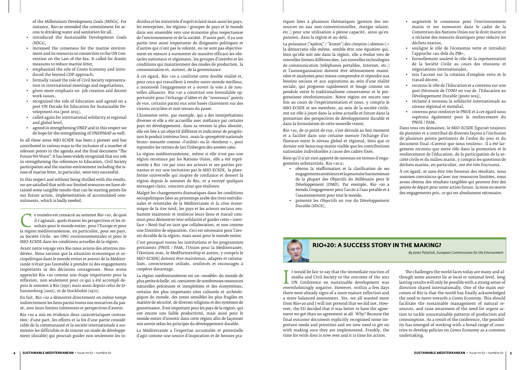

*By Janez Potočnik, European Commissioner for the Environment*

media and Civil Society to the outcome of the 2012<br>UN Conference on sustainable development was<br>overwhelmingly negative. However, within a few days<br>there were already signs of a more mature reflection and t would be fair to say that the immediate reaction of media and Civil Society to the outcome of the 2012 UN Conference on sustainable development was there were already signs of a more mature reflection and a more balanced assessment. Yes, we all wanted more from Rio+20 and I will not pretend that we did not. However, the EU decided that it was better to have the agreement we got than no agreement at all. Why? Because the final outcome document explicitly recognised some important needs and priorities and we now need to get on with making sure they are implemented. Frankly, the time for wish-lists is now over and it is time for action.

The challenges the world faces today are many and although some answers lie at local or national level, long lasting results will only be possible with a strong sense of direction shared internationally. One of the main outcomes of Rio is that the world has finally acknowledged the need to move towards a Green Economy. This should facilitate the sustainable management of natural resources, and raise awareness of the need for urgent action to tackle unsustainable patterns of production and consumption. As a result of the conference, the possibility has emerged of working with a broad range of countries to develop policies on Green Economy as a common undertaking.

of the Millennium Development Goals (MDGs). For instance, Rio+20 extended the commitment for access to drinking water and sanitation for all,

E numéro est consacré au sommet Rio +20, de quoi il s'agissait, quels étaient les perspectives et les résultats pour le monde entier, pour l'Europe et pour la région méditerranéenne, en particulier, pour ses pays, sa Socié il s'agissait, quels étaient les perspectives et les résultats pour le monde entier, pour l'Europe et pour sa Société Civile, ses ONG environnementales et pour le MIO-ECSDE dans les conditions actuelles de la région.

- • introduced the Sustainable Development Goals (SDGs),
- • increased the consensus for the marine environment and its resources in connection to the UN Convention on the Law of the Sea. It called for drastic measures to reduce marine litter,
- emphasized the role of Green Economy and introduced the beyond GDP approach,
- formally raised the role of Civil Society representation in international meetings and negotiations,
- • given more emphasis on job creation and decent work issues,
- • recognized the role of Education and agreed on a post UN Decade for Education for Sustainable Development era (post 2015),
- • called again for international solidarity at regional and global level,
- agreed in strengthening UNEP and in this respect we do hope for the strengthening of UNEP/MAP as well.

In all these areas MIO-ECSDE has been a pioneer and has contributed in various ways to the inclusion of a number of relevant points in the agenda and the final document "The Future We Want". It has been widely recognized that our role in strengthening the references to Education, Civil Society participation and the marine environment including the issues of marine litter, in particular, were very successful.

In this respect and without being thrilled with the results, we are satisfied that with our limited resources we have obtained some tangible results that can be starting points for our future action, implementation of accumulated commitments, which is badly needed.

Avant notre voyage vers Rio nous avions des attentes modérées. Nous savions que la situation économique et sociopolitique dans le monde entier et autour de la Méditerranée n'était pas favorable à prendre ni des engagements importants ni des décisions courageuses. Nous avons approché Rio +20 comme une étape importante pour la réflexion, non seulement pour ce qui a été accompli depuis le sommet à Rio (1992) mais aussi depuis celui de Johannesburg (2002), et de Stockholm (1972).

En fait, Rio +20 a démontré directement en même temps indirectement les liens parmi toutes nos tentatives du passé, avec leurs limites inhérentes et perspectives d'avenir.

Rio +20 a mis en évidence deux caractéristiques contrastées: d'une part, les efforts et la foi d'une partie considérable de la communauté et la société internationale à surmonter les difficultés et de trouver un mode de développement (durable) qui pourrait guider non seulement les in-

dividus et les minorités d'esprit éclairé mais aussi les pays, les entreprises, les régions / groupes de pays et le monde dans son ensemble vers une économie plus respectueuse de l'environnement et de la société. D'autre part, il ya une partie tout aussi importante de dirigeants politiques et d'autres qui n'ont pas la volonté, ou ne sont pas objectivement en mesure à surmonter de manière efficace les obstacles nationaux et régionaux, les groupes d'intérêts et les conditions qui maintiennent des modes de production, la consommation et, surtout, de la gouvernance

À cet égard, Rio +20 a confirmé cette double réalité et, pour ceux qui travaillent à rendre notre monde meilleur, a renouvelé l'engagement et a ouvert la voie à de nouvelles alliances. Rio +20 a constitué une formidable opportunité pour l'échange d'idées et de "nouveaux" points de vue, certains parmi eux sont basés clairement sur des visions recyclées et non tenues du passé.

L'Economie verte, par exemple, qui a des interprétations diverses et elle a été accueillie avec méfiance par certains pays en développement, dans sa version la plus aboutie, elle est liée à un objectif différent et indicateur de progrès: non le produit intérieur brut, mais la «prospérité nationale brute» mesurée comme «l'utilité» ou le «bonheur », pour reprendre les termes de Jan Tinbergen des années 1960.

La région méditerranéenne, même si elle n'est pas une région reconnue par les Nations Unies, elle a été représentée à Rio +20 par tous ses acteurs et ses parties prenantes et sur une invitation par le MIO-ECSDE, la plateforme universelle qui inspire de confiance et dessert la région depuis le sommet de Rio, et a envoyé quelques messages clairs, concrets ainsi que réalistes:

Malgré les changements dramatiques dans les conditions sociopolitiques liées au printemps arabe des rives méridionales et orientales de la Méditerranée et la crise économique de la rive nord, les pays et les acteurs sociaux souhaitent maintenir et renforcer leurs liens et travail commun pour démontrer leur solidarité et garder cette « interface » Nord-Sud en tant que collaboration, et non comme une frontière de séparation. Ceci est nécessaire pour l'avenir durable de la région, mais aussi pour le monde entier.

C'est pourquoi toutes les institutions et les programmes pertinents (PNUE / PAM, l'Union pour la Méditerranée, l'Horizon 2020, le MedPartnership et autres, y compris le MIO-ECSDE) doivent être maintenus, adaptés et rationalisés, correctement utilisés, renforcés et encouragés à coopérer davantage.

La région méditerranéenne est un «modèle» du monde de plus petite échelle, où coexistent de nombreuses ressources naturelles précieuses et inexploitées et des écosystèmes, certains des plus importants sites culturels et archéologiques du monde, des zones sensibles les plus fragiles en matière de sécurité, de diverses religions et des systèmes de gouvernance. Il est important pour les pays de la région, qui ont encore une faible productivité, mais aussi pour le monde entier d'investir dans cette région afin de façonner son avenir selon les principes du développement durable.

La Méditerranée a l'expertise accumulée et potentielle d'agir comme une source d'inspiration et de bonnes pratiques liées à plusieurs thématiques (gestion des ressources en eau non-conventionnelles, énergie solaire, etc.) pour une utilisation à pleine capacité, ainsi qu'expansion, dans la région et au-delà.

La puissance ("κράτος" / "kratos") des citoyens («demos») = la démocratie elle-même, semble être une équation qui, bien qu'elle soit née dans la région, elle a évolué vers de nouvelles formes différenciées. Les nouvelles technologies de communication (téléphones portables, Internet, etc.) et l'autoorganisation doivent être sérieusement examinées et analysées pour mieux comprendre et répondre aux besoins sociaux et aux aspirations au sein d'une réalité sociale, qui progresse rapidement et bouge comme un pendule entre le traditionalisme conservateur et le progressisme révolutionnaire. Notre région est encore une fois au cours de l'expérimentation et nous, y compris le MIO-ECSDE et ses membres, au sein de la société civile, ont un rôle à jouer dans la scène actuelle et future dans la promotion des perspectives de développement durable et dans la formulation de cette nouvelle vision.

Rio +20, de ce point de vue, s'est déroulé au bon moment et a facilité dans une certaine mesure l'échange d'influences entre le niveau global et régional, bien que ce dernier soit beaucoup moins visible que les contributions nationales individuelles à cause des cadres fixés.

Bien qu'il n'ait rien apporté de nouveau en termes d'engagements substantiels, Rio +20 a:

- • obtenu la réaffirmation et la clarification de ses engagements antérieurs et la poursuite harmonieuse de la plupart des Objectifs du Millénaire pour le Développement (OMD). Par exemple, Rio +20 a étendu l'engagement pour l'accès à l'eau potable et à l'assainissement pour tout le monde,
- • présenté les Objectifs en vue du Développement Durable (SDGS),
- • augmenté le consensus pour l'environnement marin et ses ressources dans le cadre de la Convention des Nations Unies sur le droit marin et a réclamé des mesures drastiques pour réduire les déchets marins,
- souligné le rôle de l'économie verte et introduit l'approche «au-delà du PIB»,
- • formellement soulevé le rôle de la représentation de la Société Civile au cours des réunions et négociations internationales,
- • mis l'accent sur la création d'emplois verts et le travail décent,
- reconnu le rôle de l'Education et a convenu sur une post-Décennie de l'ONU en vue de l'Education au Développement Durable (poste 2015),
- • réclamé à nouveau la solidarité internationale au niveau régional et mondial,
- • convenu pour renforcer le PNUE et à cet égard nous espérons également pour le renforcement du PNUE / PAM.

Dans tous ces domaines, le MIO-ECSDE figurait toujours de pionnier et a contribué de diverses façons à l'inclusion de plusieurs points pertinents de l'ordre du jour et du document final «L'avenir que nous voulons». Il a été largement reconnu que notre rôle dans la promotion et le renforcement de l'éducation, de la participation de la société civile et du milieu marin, y compris les questions de déchets marins, en particulier, ont été très fructueux.

À cet égard, et sans être très heureux des résultats, nous sommes convaincus qu'avec nos ressources limitées, nous avons obtenu des résultats tangibles qui peuvent être des points de départ pour notre action future, la mise en œuvre des engagements pris, ce qui est absolument nécessaire.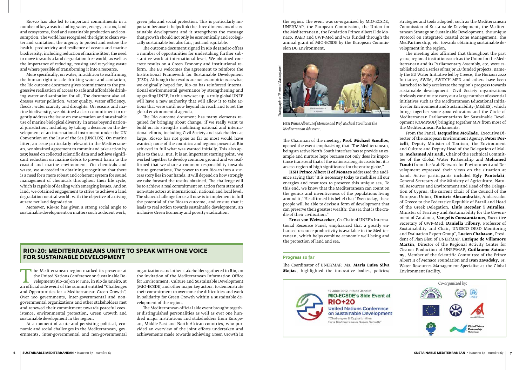#### **RIO+20: Mediterraneans unite to speak with one voice for Sustainable Development**

The Mediterranean region marked its presence at<br>
the United Nations Conference on Sustainable De-<br>
velopment (Rio+20) on 19 June, in Rio de Janeiro, at<br>
an official side event of the summit entitled "Challenges<br>
and Opport the United Nations Conference on Sustainable Development (Rio+20) on 19 June, in Rio de Janeiro, at and Opportunities for a Mediterranean Green Growth". Over 100 governments, inter-governmental and nongovernmental organizations and other stakeholders met and renewed their commitment towards peaceful coexistence, environmental protection, Green Growth and sustainable development in the region.

At a moment of acute and persisting political, economic and social challenges in the Mediterranean, governments, inter-governmental and non-governmental

organizations and other stakeholders gathered in Rio, on the invitation of the Mediterranean Information Office for Environment, Culture and Sustainable Development (MIO-ECSDE) and other major key actors, to demonstrate their commitment to overcome the difficulties and work in solidarity for Green Growth within a sustainable development of the region.

The Mediterranean official side event brought together distinguished personalities as well as over one hundred major institutions and stakeholders from European, Middle East and North African countries, who provided an overview of the joint efforts undertaken and achievements made towards achieving Green Growth in the region. The event was co-organized by MIO-ECSDE, UNEP/MAP, the European Commission, the Union for the Mediterranean, the Fondation Prince Albert II de Monaco, RAED and GWP-Med and was funded through the annual grant of MIO-ECSDE by the European Commission DG Environment.

The Chairman of the meeting, **Prof. Michael Scoullos**, opened the event emphasizing that "The Mediterranean, being an active North-South interface has to provide an example and nurture hope because not only does its importance transcend that of the nations along its coasts but it is an eco-region of high significance for the entire globe."

**HSH Prince Albert II of Monaco** addressed the audience saying that "It is necessary today to mobilise all our energies and resources to preserve this unique sea. To this end, we know that the Mediterranean can count on the genius and inventiveness of the populations living around it." He affirmed his belief that "Even today, these people will be able to devise a form of development that can preserve their greatest wealth: the sea that is the cradle of their civilisation."

**Ernst von Weizsaecker**, Co-Chair of UNEP's International Resource Panel, emphasized that a greatly enhanced resource productivity is available in the Mediterranean, which helps combine economic well-being and the protection of land and sea.

#### **Progress so far**

The Coordinator of UNEP/MAP, Ms. **Maria Luisa Silva Mejias**, highlighted the innovative bodies, policies/

strategies and tools adopted, such as the Mediterranean Commission of Sustainable Development, the Mediterranean Strategy on Sustainable Development, the unique Protocol on Integrated Coastal Zone Management, the MedPartnership, etc. towards obtaining sustainable development in the region.

The meeting also affirmed that throughout the past years, regional insitutions such as the Union for the Mediterranean and its Parliamentary Assembly, etc. were established and a series of major EU funded projects, namely the EU Water Initiative led by Greece, the Horizon 2020 Initiative, SWIM, SWITCH-MED and others have been launched to help accelerate the region's progress towards sustainable development. Civil Society organizations tirelessly continue to carry out a large number of essential initiatives such as the Mediterranean Educational Initiative for Environment and Sustainability (MEdIES), which brings together some 4000 educators and the Circle of Mediterranean Parliamentarians for Sustainable Development (COMPSUD) bringing together MPs from most of the Mediterranean Parliaments.

From the Panel, **Jacqueline McGlade**, Executive Director of the European Environment Agency, **Peter Portelli**, Deputy Minister of Tourism, the Environment and Culture and Deputy Head of the Delegation of Malta, **Mohamed Ait Kadi**, Chair of the Technical Committee of the Global Water Partnership and **Mohamed Ftouhi** from the Arab Network for Environment and Development expressed their views on the situation at hand. Active participants included **Egly Pantelaki**, General Secretary of the Ministry of Agriculture, Natural Resources and Environment and Head of the Delegation of Cyprus, the current Chair of the Council of the European Union, **Dimitris Alexandrakis,** Ambassador of Greece to the Federative Republic of Brazil and Head of the Greek Delegation, **Lluís Recoder i Miralles**, Minister of Territory and Sustainability for the Government of Catalonia, **Vangelis Constantianos**, Executive Secretary of GWP-Med, **Daniella Tilbury**, Professor of Sustainability and Chair, UNESCO DESD Monitoring and Evaluation Expert Group", **Lucien Chabason**, President of Plan Bleu of UNEP/MAP, **Enrique de Villamore Martín**, Director of the Regional Activity Centre for Cleaner Production of UNEP/MAP, **Guillaume Sainteny**, Member of the Scientific Committee of the Prince Albert II of Monaco Foundation and **Ivan Zavadsky**, Sr. Water Resources Management Specialist at the Global Environment Facility.





*HSH Prince Albert II of Monaco and Prof. Michael Scoullos at the Mediterranean side event.*

Rio+20 has also led to important commitments in a number of key areas including water, energy, oceans, land and ecosystems, food and sustainable production and consumption. The world has recognised the right to clean water and sanitation, the urgency to protect and restore the health, productivity and resilience of oceans and marine biodiversity, including reduction of marine litter, the need to move towards a land degradation free world, as well as the importance of reducing, reusing and recycling waste and where possible of transforming it into a resource.

More specifically, on water, in addition to reaffirming the human right to safe drinking water and sanitation, the Rio outcome document gives commitment to the progressive realisation of access to safe and affordable drinking water and sanitation for all. The document also addresses water pollution, water quality, water efficiency, floods, water scarcity and droughts. On oceans and marine biodiversity, we obtained a clear commitment to urgently address the issue on conservation and sustainable use of marine biological diversity in areas beyond national jurisdiction, including by taking a decision on the development of an international instrument under the UN Convention on the Law of the Sea (UNCLOS). On marine litter, an issue particularly relevant in the Mediterranean, we obtained agreement to commit and take action by 2025 based on collected scientific data and achieve significant reduction on marine debris to prevent harm to the coastal and marine environment. On chemicals and waste, we succeeded in obtaining recognition that there is a need for a more robust and coherent system for sound management of chemicals throughout their life cycle, which is capable of dealing with emerging issues. And on land, we obtained engagement to strive to achieve a land degradation neutral world, with the objective of arriving at zero net land degradation.

Moreover, Rio+20 has given a strong social angle to sustainable development on matters such as decent work,

green jobs and social protection. This is particularly important because it helps link the three dimensions of sustainable development and it strengthens the message that growth should not only be economically and ecologically sustainable but also fair, just and equitable.

The outcome document signed in Rio de Janeiro offers a number of opportunities for undertaking further substantive work at international level. We obtained concrete results on a Green Economy and institutional reform. The EU welcomes the agreement to reinforce the Institutional Framework for Sustainable Development (IFSD). Although the results are not as ambitious as what we originally hoped for, Rio+20 has reinforced international environmental governance by strengthening and upgrading UNEP. In this new set-up, a truly global UNEP will have a new authority that will allow it to take actions that were until now beyond its reach and to set the global environmental agenda.

The Rio outcome document has many elements required for bringing about change, if we really want to build on its strengths mobilising national and international efforts, including Civil Society and stakeholders at large. Rio+20 has not gone as far as most would have wanted; none of the countries and regions present at Rio achieved in full what was wanted initially. This also applies to the EU. But, it is an important starting point. We worked together to develop common ground and we reaffirmed that we share a common responsibility towards future generations. The power to turn Rio+20 into a success story lies in our hands. It will depend on how strongly we take forward the results obtained. The challenge will be to achieve a real commitment on action from state and non-state actors at international, national and local level. The shared challenge for us all now is to implement in full the potential of the Rio+20 outcome, and ensure that it leads to real action towards sustainable development, an inclusive Green Economy and poverty eradication.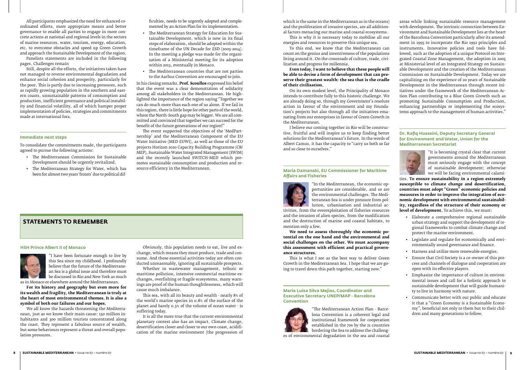### **Statements to remember**

#### **HSH Prince Albert II of Monaco**



"I have been fortunate enough to live by this Sea since my childhood. I profoundly believe that the future of the Mediterranean Sea is a global issue and therefore must be discussed in Rio and New York as much

as in Monaco or elsewhere around the Mediterranean.

**For its history and geography but even more for its wealth and fragility, the Mediterranean is truly at the heart of most environmental themes. It is also a symbol of both our failures and our hopes.**

We all know the hazards threatening the Mediterranean, just as we know their main cause: 150 million inhabitants and 300 million tourists concentrated along the coast. They represent a fabulous source of wealth, but some behaviours represent a threat and overall population pressures.

Obviously, this population needs to eat, live and exchange, which means they must produce, trade and consume. And these essential activities today are often conducted unreasonably, ignoring all sustainable prospects.

Whether in wastewater management, telluric or maritime pollution, intensive commercial maritime exchanges, overfishing or fragile ecosystems, many warnings are proof of the human thoughtlessness, which will cause much imbalance.

This sea, with all its beauty and wealth - nearly 8% of the world's marine species in 0.8% of the surface of the planet and barely 0.3% of the volume of ocean water - is suffering today.

It is all the more true that the current environmental planetary context also has an impact. Climate change, desertification closer and closer to our own coast, acidification of the marine environment (the progression of

which is the same in the Mediterranean as in the oceans) and the proliferation of invasive species, are all additional factors menacing our marine and coastal ecosystems.

This is why it is necessary today to mobilise all our energies and resources to preserve this unique sea.

To this end, we know that the Mediterranean can count on the genius and inventiveness of the populations living around it. On the crossroads of culture, trade, civilization and progress for millennia.

**Even today, I want to believe that these people will be able to devise a form of development that can preserve their greatest wealth: the sea that is the cradle of their civilisation.**

On its own modest level, the Principality of Monaco intends to contribute fully to this historic challenge. We are already doing so, through my Government's resolute action in favour of the environment and my Foundation's projects but also through all the initiatives emanating from our enterprises in favour of Green Growth in the Mediterranean.

I believe our coming together in Rio will be constructive, fruitful and will inspire us to keep finding better solutions for the Mediterranean's future. In the words of Albert Camus, it has the capacity to "carry us both so far and so close to ourselves."

#### **Maria Damanaki, EU Commissioner for Maritime Affairs and Fisheries**



"In the Mediterranean, the economic opportunities are considerable, and so are the environmental challenges. The Mediterranean Sea is under pressure from pollution, urbanisation and industrial ac-

tivities, from the overexploitation of fisheries resources and the invasion of alien species, from the modification and the destruction of marine and coastal habitats, to mention only a few.

**We need to assess thoroughly the economic potential on the one hand and the environmental and social challenges on the other. We must accompany this assessment with efficient and practical governance structures.**

This is what I see as the best way to deliver Green Growth in the Mediterranean Sea. I hope that we are going to travel down this path together, starting now."

#### **Maria Luisa Silva Mejias, Coordinator and Executive Secretary UNEP/MAP - Barcelona Convention**



"The Mediterranean Action Plan - Barcelona Convention is a coherent legal and institutional framework for cooperation established in the 70s by the 21 countries bordering the Sea to address the challeng-

es of environmental degradation in the sea and coastal

- The Mediterranean Strategy for Education for Sustainable Development, which is now in its final steps of elaboration, should be adopted within the timeframe of the UN Decade for ESD (2005-2014). In the meeting a pledge was made for the organization of a Ministerial meeting for its adoption within 2013, eventually in Monaco.
- • The Mediterranean countries that are not parties to the Aarhus Convention are encouraged to join.

areas while linking sustainable resource management with development. The intrinsic connection between Environment and Sustainable Development lies at the heart of the Barcelona Convention particularly after its amendment in 1995 to incorporate the Rio 1992 principles and instruments. Innovative policies and tools have followed, such as the adoption of a unique Protocol on Integrated Coastal Zone Management, the adoption in 2005 at Ministerial level of an Integrated Strategy on Sustainable Development and the creation of the Mediterranean Commission on Sustainable Development. Today we are capitalizing on the experience of 20 years of Sustainable Development in the Mediterranean through recent initiatives under the framework of the Mediterranean Action Plan contributing to a Blue Green Growth such as promoting Sustainable Consumption and Production, enhancing partnerships or implementing the ecosystems approach to the management of human activities."

#### **Dr. Rafiq Husseini, Deputy Secretary General for Environment and Water, Union for the Mediterranean Secretariat**



"It is becoming crystal clear that current governments around the Mediterranean must seriously engage with the concept of sustainable development; otherwise we will be facing environmental calami-

ties. **To ensure sustainability in a region extremely susceptible to climate change and desertification, countries must adopt "Green" economic policies and measures in order to improve the integration of economic development with environmental sustainability, regardless of the structure of their economy or level of development.** To achieve this, we must:

- • Elaborate a comprehensive regional sustainable urban strategy and support the development of regional frameworks to combat climate change and protect the marine environment.
- • Legislate and regulate for economically and environmentally sound governance and finance.
- • Harness and utilize more renewable energies.
- • Ensure that Civil Society is a co-owner of this process and channels of dialogue and cooperation are open with its effective players.
- • Emphasize the importance of culture in environmental issues and call for a holistic approach to sustainable development that will guide humanity to live in harmony with nature.
- Communicate better with our public and educate it that a "Green Economy is a Sustainable Economy", beneficial not only to them but to their children and many generations to follow.

All participants emphasized the need for enhanced coordinated efforts, more appropriate means and better governance to enable all parties to engage in more concrete actions at national and regional levels in the sectors of marine resources, water, tourism, energy, education, etc. to overcome obstacles and speed up Green Growth and approach the Sustainable Development of the region.

Panelists statements are included in the following pages. Challenges remain

Still, despite all the efforts, the initiatives taken have not managed to reverse environmental degradation and enhance social cohesion and prosperity, particularly for the poor. This is partly due to increasing pressures, such as rapidly growing population in the southern and eastas rapidly growing population in the southern and eastern coasts, unsustainable patterns of consumption and production, inefficient governance and political instability and financial volatility, all of which hamper proper implementation of policies, strategies and commitments made at international fora.

#### **Immediate next steps**

To consolidate the commitments made, the participants agreed to pursue the following actions:

- • The Mediterranean Commission for Sustainable Development should be urgently revitalized.
- • The Mediterranean Strategy for Water, which has been for almost two years 'frozen' due to political dif-

ficulties, needs to be urgently adopted and complemented by an Action Plan for its implementation.

In his closing remarks, **Prof. Scoullos** expressed his belief that the event was a clear demonstration of solidarity among all stakeholders in the Mediterranean. He highlighted the importance of the region saying "Together we can do much more than each one of us alone. If we fail in this region, there is little hope for other parts of the world, where the North-South gap may be bigger. We are all committed and convinced that together we can succeed for the benefit of the future generations of our region!"

The event supported the objectives of the 'MedPartnership' and the Mediterranean Component of the EU Water Initiative (MED EUWI), as well as those of the EU projects Horizon 2020 Capacity Building Programme (CB/ MEP), Sustainable Water Integrated Management (SWIM) and the recently launched SWITCH-MED which promotes sustainable consumption and production and resource efficiency in the Mediterranean.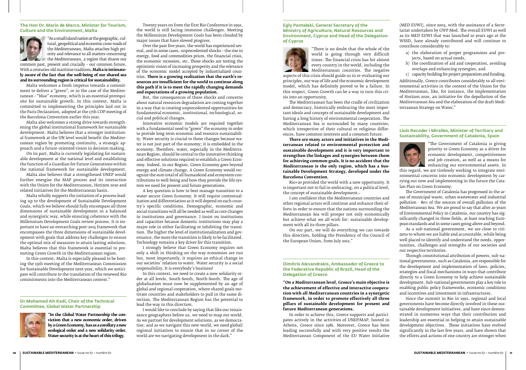#### **The Hon Dr. Mario de Marco, Minister for Tourism, Culture and the Environment, Malta**



"As a small island nation at the geographic, cultural, geopolitical and economic cross-roads of the Mediterranean, Malta attaches high priority and relevance to all matters concerning the Mediterranean, a region that shares our

common past, present and crucially – our common future. With a centuries-old maritime tradition<sub>7</sub> Malta is intimate**ly aware of the fact that the well-being of our shared sea and its surrounding region is critical for sustainability.** 

Malta welcomes a fresh impetus towards a commitment to deliver a "green", or in the case of the Mediterranean – "blue" economy, which is an essential prerequisite for sustainable growth. In this context, Malta is committed to implementing the principles laid out in the Paris Declaration, adopted at the 17th COP meeting of the Barcelona Convention earlier this year.

Malta also welcomes a strong drive towards strengthening the global institutional framework for sustainable development. Malta believes that a stronger institutional framework at the UN level would benefit the Mediterranean region by promoting continuity, a strategic approach and a future-oriented vision in decision making.

On its part, Malta is currently legislating for sustainable development at the national level and establishing the function of a Guardian for Future Generations within the national framework for sustainable development.

Malta also believes that a strengthened UNEP would further energise the MAP process and its interaction with the Union for the Mediterranean, Horizon 2020 and related initiatives for the Mediterranean basin.

Malta wholly supports the initiation of a process leading up to the development of Sustainable Development Goals, which we believe should fully encompass all three dimensions of sustainable development in a balanced and synergistic way, while ensuring coherence with the Millennium Development Goals review process. It is important to have an overarching post-2015 framework that encompasses the three dimensions of sustainable development with goals that address key challenges to ensure the optimal mix of measures to attain lasting solutions. Malta believes that this framework is essential to promoting Green Growth in the Mediterranean region.

In this context, Malta is especially pleased to be hosting the 15th meeting of the Mediterranean Commission for Sustainable Development next year, which we anticipate will contribute to the translation of the renewed Rio commitments into the Mediterranean context."

#### **Dr Mohamed Ait Kadi, Chair of the Technical Committee, Global Water Partnership**



**"In the Global Water Partnership the conviction that a new economic order, driven by a Green Economy, has as a corollary a new ecological order and a new solidarity order. Water security is at the heart of this trilogy.**

Twenty years on from the first Rio Conference in 1992, the world is still facing immense challenges. Meeting the Millennium Development Goals has been clouded by major issues that have slowed progress.

Over the past five years, the world has experienced several, and in some cases, unprecedented shocks – the rise in energy, food and commodities prices, the financial crisis, the economic recession, etc. These shocks are testing the optimistic vision of increasing prosperity and the relevance of the economic model accepted by industrialized countries. **There is a growing realization that the earth's resources are insufficient for the world to continue along this path if it is to meet the rapidly changing demands and expectations of a growing population.**

But, the consequences of these shocks and concerns about natural resources degradation are coming together in a way that is creating unprecedented opportunities for fundamental economic, institutional, technological, social and political changes.

Innovative economic models are required together with a fundamental need to "green" the economy in order to provide long term economic and resource sustainability. Water security is crucial to these changes because water is not just part of the economy; it is embedded in the economy. Therefore, water, especially in the Mediterranean Region, should be central to the innovative thinking and effective solutions required to establish a Green Economy. Indeed, in our Region, Green Economy goes beyond energy and climate change. A Green Economy would recognize the sum total of all humankind and ecosystem contributions to well-being and how they provide the life system we need for present and future generations.

A key question is how to best manage transition to a water secure Green Economy. It will require contextualization and differentiation as it will depend on each country's specific conditions. Demographic, economic and social transitions will all be needed as well as core changes in institutions and governance. I insist on institutions and capacities because domestic institutions may play a major role in either facilitating or inhibiting the transition. The higher the level of institutionalization and governance, the more the transition is likely to be facilitated. Technology remains a key driver for this transition.

I strongly believe that Green Economy requires not only a shift in thinking on the way economies are run but, most importantly, it requires an ethical change in our societies' relation to water. Water security is a social responsibility. It is everybody's business!

In this context, we need to create a new solidarity order at all levels, South-South, North-South. The age of globalisation must now be supplemented by an age of global and regional cooperation, where shared goals motivate countries and stakeholders to pull in the same direction. The Mediterranean Region has the potential to lead the way in this direction.

I would like to conclude by saying that like our renaissance geographers before us, we need to map our world. As we partner for development solutions, as we democratise; and as we navigate this new world, we need global/ regional initiatives to ensure that in no corner of the world are we navigating development in the dark."

#### **Egly Pantelaki, General Secretary of the Ministry of Agriculture, Natural Resources and Environment, Cyprus and Head of the Delegation of Cyprus**



"There is no doubt that the whole of the world is going through very difficult times. The financial crisis has hit almost every country in the world, including the Mediterranean countries. The negative

aspects of this crisis should guide us in re-evaluating our principles, our way of life and the economic development model, which has definitely proved to be a failure. In this respect, Green Growth can be a way to turn this crisis into an opportunity.

The Mediterranean has been the cradle of civilization and democracy, historically embracing the most important ideals and concepts of sustainable development and having a long history of environmental cooperation. The Mediterranean Sea is surrounded by many countries, which irrespective of their cultural or religious differences, have common interests and a common future.

**There are many actors and initiatives in the Mediterranean related to environmental protection and sustainable development and it is very important to strengthen the linkages and synergies between them for achieving common goals. It is no accident that the Mediterranean is the only region, which has a Sustainable Development Strategy, developed under the Barcelona Convention.**

Rio+20 provided the world with a new opportunity. It is important not to fail in embracing, on a political level, the concept of sustainable development.

I am confident that the Mediterranean countries and other regional actors will continue and enhance their efforts in order to ensure that the nations surrounding the Mediterranean Sea will prosper not only economically but achieve what we all wish for: sustainable development with all its three pillars.

On our part, we will do everything we can towards this direction, holding the Presidency of the Council of the European Union, from July 2012."

#### **Dimitris Alexandrakis, Ambassador of Greece to the Federative Republic of Brazil, Head of the Delegation of Greece**

**"On a Mediterranean level, Greece's main objective is the achievement of effective and interactive cooperation with all Mediterranean countries in a synergetic framework, in order to promote effectively all three pillars of sustainable development for present and future Mediterranean generations.**

In order to achieve this, Greece supports and participates actively in the activities of UNEP/MAP, hosted in Athens, Greece since 1981. Moreover, Greece has been leading successfully and with very positive results the Mediterranean Component of the EU Water Initiative

(MED EUWI), since 2003, with the assistance of a Secretariat undertaken by GWP Med. The overall EUWI as well as its MED EUWI that was launched 10 years ago at the WSSD, have already contributed and will continue to contribute considerably to:

- a) the elaboration of proper programmes and projects, based on actual needs,
- b) the coordination of aid and cooperation, avoiding overlaps and enhancing synergies, and
- c) capacity building for project preparation and funding.

Additionally, Greece contributes considerably to all environmental activities in the context of the Union for the Mediterranean, like, for instance, the implementation of Horizon 2020, an initiative for the depollution of the Mediterranean Sea and the elaboration of the draft Mediterranean Strategy on Water."

#### **Lluís Recoder i Miralles, Minister of Territory and Sustainability, Government of Catalonia, Spain**



"The Government of Catalonia is giving priority to Green Economy as a driver for economic development, competitiveness<br>and job creation, as well as a means for and job creation, as well as a means for enhancing our environmental assets. In

this regard, we are tirelessly working to integrate environmental concerns into economic development by carrying out now and implementing in the future the Catalan Plan on Green Economy.

The Government of Catalonia has progressed in the areas of municipal waste, urban wastewater and industrial pollution - 80% of the sources of overall pollution of the Mediterranean Sea. We are proud to say that after 20 years of Environmental Policy in Catalonia, our country has significantly changed in these fields, at least reaching European standards and in some cases going above and beyond.

As a sub-national government, we are close to citizens to whom we are liable and accountable, while being well placed to identify and understand the needs, opportunities, challenges and strengths of our societies and our respective territories.

Through constitutional attribution of powers, sub-national governments, such as Catalonia, are responsible for the development and implementation of laws, policies, strategies and fiscal mechanisms in ways that contribute directly to a Green Economy to help achieve sustainable development. Sub-national governments play a key role in enabling public policy frameworks, economic conditions and incentives and investment in infrastructures.

Since the summit in Rio in 1992, regional and local governments have become directly involved in these sustainable development initiatives, and have since demonstrated in numerous ways that their contribution and leadership are essential in helping to attain sustainable development objectives. These initiatives have evolved significantly in the last few years, and have shown that the efforts and actions of one country are stronger when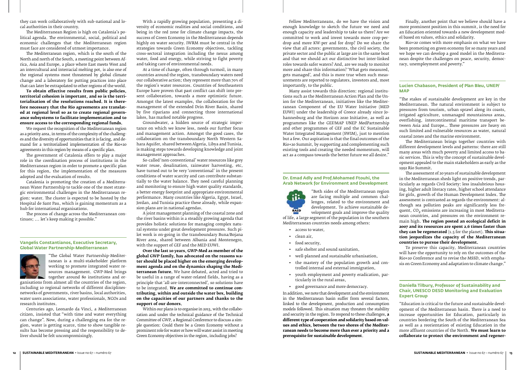they can work collaboratively with sub-national and local authorities in their country.

The Mediterranean Region is high on Catalonia's political agenda. The environmental, social, political and economic challenges that the Mediterranean region must face are considered of utmost importance.

The Mediterranean region, which is the south of the North and north of the South, a meeting point between Africa, Asia and Europe, a place where East meets West and an intercultural and interracial melting pot, is also one of the regional systems most threatened by global climate change and a laboratory for putting practices into place that can later be extrapolated to other regions of the world.

**To obtain effective results from public policies, territorial cohesion is important, and so is the territorialisation of the resolutions reached. It is therefore necessary that the Rio agreements are translated at regional level so as to create regional governance subsystems to facilitate implementation and to ensure access to the corresponding regional funds.**

We request the recognition of the Mediterranean region as a priority area, in terms of the complexity of the challenges and the diversity of opportunities that it is facing, and demand for a territorialised implementation of the Rio+20 agreements in this region by means of a specific plan.

The government of Catalonia offers to play a major role in the coordination process of institutions in the Mediterranean region in order to promote a specific plan for this region, the implementation of the measures adopted and the evaluation of results.

Catalonia is promoting the creation of a Mediterranean Water Partnership to tackle one of the most strategic environmental challenges in the Mediterranean region: water. The cluster is expected to be hosted by the Hospital de Sant Pau, which is gaining momentum as a hub for international organisations.

The process of change across the Mediterranean continues; ... let's keep making it possible."

#### **Vangelis Constantianos, Executive Secretary, Global Water Partnership-Mediterranean**



"The Global Water Partnership-Mediterranean is a multi-stakeholder platform working to promote integrated water resources management. GWP-Med brings together around 80 institutions and or-

ganisations from almost all the countries of the region, including 10 regional networks of different disciplinesnetworks of governments, river basins, local authorities, water users associations, water professionals, NGOs and research institutes.

Centuries ago, Leonardo da Vinci, a Mediterranean citizen, insisted that "with time and water everything can change". Now, during a challenging era for the region, water is getting scarce, time to show tangible results has become pressing and the responsibility to deliver should be felt uncompromisingly.

With a rapidly growing population, presenting a diversity of economic realities and social conditions, and being in the red zone for climate change impacts, the success of Green Economy in the Mediterranean depends highly on water security. IWRM must be central in the strategies towards Green Economy objectives, tackling cross-sectoral integration including the nexus among water, food and energy, while striving to fight poverty and taking care of environmental needs.

At a time of change, often through turmoil, in many countries around the region, transboundary waters need our collaborative action; they represent more than 70% of the region's water resources. Countries of Southeastern Europe have proven that past conflict can shift into present collaboration, towards a more optimistic future. Amongst the latest examples, the collaboration for the management of the extended Drin River Basin, shared by five riparians and connecting three international lakes, has marked notable progress.

Groundwater, a hidden source of strategic importance on which we know less, needs our further focus and management action. Amongst the good cases, the collaboration on the transboundary North Western Sahara Aquifer, shared between Algeria, Libya and Tunisia, is making steps towards developing knowledge and joint management approaches.

So-called 'non-conventional' water resources like grey water reuse, desalination, rainwater harvesting, etc, have turned out to be very 'conventional' in the present conditions of water scarcity and can contribute substantially to the water balance. They need careful planning and monitoring to ensure high water quality standards, a better energy footprint and appropriate environmental performance. Many countries like Algeria, Egypt, Israel, Jordan, and Tunisia practice these already, while expansion plans are in national agendas.

A joint management planning of the coastal zone and the river basins within is a steadily growing agenda that provides holistic solutions for managing complex natural systems under great development pressures. Such pilot work is on-going in the transboundary Buna/Bojana River area, shared between Albania and Montenegro, with the support of GEF and the MED EUWI.

**Over the last 10 years, GWP-Med as member of the global GWP family, has advocated on the reasons water should be placed higher on the emerging development agenda and on the dynamics shaping the Mediterranean future.** We have debated, acted and tried to be useful in a range of water-related fields, having as a principle that 'all-are-interconnected', so solutions have to be integrated. **We are committed to continue contributing, within and outside the water box, building on the capacities of our partners and thanks to the support of our donors.**

Within our plans is to organise in 2013, with the collaboration and under the technical guidance of the Technical Committee of GWP, a Regional Conference to discuss a simple question: Could there be a Green Economy without a prominent role for water or how will water assist in meeting Green Economy objectives in the region, including jobs?

Fellow Mediterraneans, do we have the vision and enough knowledge to sketch the future we need and enough capacity and leadership to take us there? Are we committed to work and invest towards more crop-perdrop and more KW-per and for drop? Do we share the view that all actors: governments, the civil society, the private sector and the public at large are in the same boat and that we should act our distinctive but inter-linked roles towards safer waters? And, are we ready to monitor more and share this information? 'What gets measured, gets managed', and this is more true when such measurements are reported to regulators, investors and, most importantly, to the public.

Many assist towards this direction: regional institutions such as the Mediterranean Action Plan and the Union for the Mediterranean, initiatives like the Mediterranean Component of the EU Water Initiative (MED EUWI) under the leadership of Greece already since Johannesburg and the Horizon 2020 Initiative, as well as programmes like the GEF/MAP UNEP MedPartnership and other programmes of GEF and the EC Sustainable Water Integrated Management (SWIM), just to mention but a few. Our aspiration is that the final outcomes of the Rio+20 Summit, by supporting and complementing such existing tools and creating the needed momentum, will act as a compass towards the better future we all desire."

#### **Dr. Emad Adly and Prof.Mohamed Ftouhi, the Arab Network for Environment and Development**



"Both sides of the Mediterranean region are facing multiple and common challenges, related to the environment and development. To achieve sustainable development goals and improve the quality

of life, a large segment of the population in the southern Mediterranean countries needs among others:

- • access to water,
- • clean air,
- food security,
- • safe shelter and sound sanitation,
- • well-planned and sustainable urbanisation,
- the mastery of the population growth and controlled internal and external immigration,
- • youth employment and poverty eradication, particularly in the rural areas,
- • good governance and more democracy.

In addition, we note that development and the environment in the Mediterranean basin suffer from several factors, linked to the development, production and consumption models followed. This situation may threaten the stability and security in the region. To respond to these challenges, **a different type of cooperation and solidarity based on values and ethics, between the two shores of the Mediterranean needs to become more than ever a priority and a prerequisite for sustainable development**.

Finally, another point that we believe should have a more prominent position in this summit, is the need for an Education oriented towards a new development model based on values, ethics and solidarity.

Rio+20 comes with more emphasis on what we have been promoting on green economy for so many years and we hope we can develop a good model in the Mediterranean despite the challenges on peace, security, democracy, unemployment and poverty."

#### **Lucien Chabason, President of Plan Bleu, UNEP/ MAP**

"The stakes of sustainable development are key in the Mediterranean. The natural environment is subject to pressures from tourism, urban sprawl along its coasts, irrigated agriculture, unmanaged mountainous areas, overfishing, intercontinental maritime transport between Asia and Europe… These pressures are heavy on such limited and vulnerable resources as water, natural coastal zones and the marine environment.

The Mediterranean brings together countries with different development levels and patterns: there are still many areas with much poverty and limited access to basic services. This is why the concept of sustainable development appealed to the main stakeholders as early as the 1992 Rio Summit.

The assessment of 20 years of sustainable development in the Mediterranean sheds light on positive trends, particularly as regards Civil Society: less insalubrious housing, higher adult literacy rates, higher school attendance for girls, growth of the Human Development Index. The assessment is contrasted as regards the environment: although sea pollution peaks are significantly less frequent,  $CO<sub>2</sub>$  emissions are increasing in most Mediterraquent, CO<sub>2</sub> emissions are increasing in most mediterranean countries, and pressures on the environment remain high. **The region posted an ecological deficit in 2007 and its resources are spent 2.6 times faster than they can be regenerated** (1.5 for the planet). **This situation jeopardizes the capacity of the Mediterranean countries to pursue their development.**

To preserve this capacity, Mediterranean countries will have the opportunity to rely on the outcomes of the Rio+20 Conference and to revise the MSSD, with emphasis on Green Economy and adaptation to climate change."

#### **Daniella Tilbury, Professor of Sustainability and Chair, UNESCO DESD Monitoring and Evaluation Expert Group**

"Education is critical to the future and sustainable development of the Mediterranean basin. There is a need to increase opportunities for Education, particularly in countries bordering the South of the Mediterranean Sea as well as a reorientation of existing Education in the more affluent countries of the North. **We must learn to collaborate to protect the environment and regener-**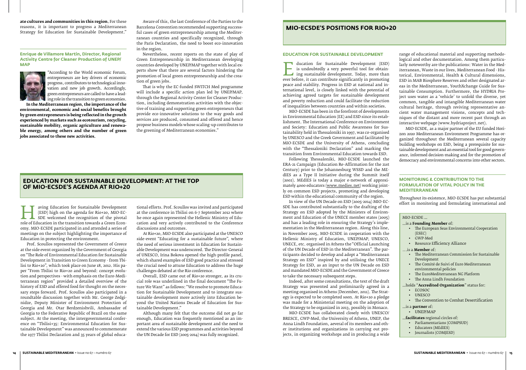**ate cultures and communities in this region.** For these reasons, it is important to progress a Mediterranean Strategy for Education for Sustainable Development."

**Enrique de Villamore Martín, Director, Regional Activity Centre for Cleaner Production of UNEP/ MAP**



"According to the World economic Forum, entrepreneurs are key drivers of economic progress, contributors to technological innovation and new job growth. Accordingly, green entrepreneurs are called to have a leading role in the transition to green economies.

**In the Mediterranean region, the importance of the environmental, economic and social benefits brought by green entrepreneurs is being reflected in the growth experienced by markets such as ecotourism, recycling, sustainable mobility, organic agriculture and renewable energy, among others and the number of green jobs associated to these new activities.**

Aware of this, the last Conference of the Parties to the Barcelona Convention recommended supporting successful cases of green entrepreneurship among the Mediterranean countries and specifically recognized, through the Paris Declaration, the need to boost eco-innovation in the region.

Taving Education for Sustainable Development<br>
SDE welcomed the recognition of the pivotal<br>
role of Education in the transition towards a Green Econ-<br>
nomy MIO-ECSDE participated in and attended a series of (ESD) high on the agenda for Rio+20, MIO-EC-SDE welcomed the recognition of the pivotal omy. MIO-ECSDE participated in and attended a series of meetings on the subject highlighting the importance of Education in protecting the environment.

Nevertheless, recent reports on the state of play of Green Entrepreneurship in Mediterranean developing countries developed by UNEP/MAP together with local experts show that there are several factors hindering the promotion of local green entrepreneurship and the creation of green jobs.

That is why the EC-funded SWITCH Med programme will include a specific action plan led by UNEP/MAP, through the Regional Activity Center for Cleaner Production, including demonstration activities with the objective of training and supporting green entrepreneurs that provide eco-innovative solutions to the way goods and services are produced, consumed and offered and hence propose business models whose scaling-up contributes to the greening of Mediterranean economies."

#### **MIO-ECSDE's positions for Rio+20**

#### **Education for Sustainable Development: at the top of MIO-ECSDE's agenda at Rio+20**

is undoubtedly a very powerful tool for obtain-<br>ing sustainable development. Today, more than<br>ever before, it can contribute significantly in promoting<br>neace and stability. Progress in ESD at national and inis undoubtedly a very powerful tool for obtaining sustainable development. Today, more than ever before, it can contribute significantly in promoting peace and stability. Progress in ESD at national and international level, is closely linked with the potential of achieving agreed targets for sustainable development and poverty reduction and could facilitate the reduction of inequalities between countries and within societies.

Prof. Scoullos represented the Government of Greece at the side event organized by the Government of Georgia on "The Role of Environmental Education for Sustainable Development in Transition to Green Economy - from Tbilisi to Rio+20", which took place on June 18, 2012. His paper "From Tbilisi to Rio+20 and beyond: concept evolution and perspectives - with emphasis on the Euro-Mediterranean region" provided a detailed overview of the history of ESD and offered food for thought on the necessary steps forward. Prof. Scoullos also participated in a roundtable discussion together with Mr. George Zedginidze, Deputy Minister of Environment Protection of Georgia and Mr. Otar Berdzenishvili, Ambassador of Georgia to the Federative Republic of Brazil on the same subject. At the meeting, the intergovernmental conference on "Tbilisi+35: Environmental Education for Sustainable Development" was announced to commemorate the 1977 Tbilisi Declaration and 35 years of global educa-

tional efforts. Prof. Scoullos was invited and participated at the conference in Tbilisi on 6-7 September 2012 where he once again represented the Hellenic Ministry of Education and very actively contributed to the Conference discussions and outcomes.

At Rio+20, MIO-ECSDE also participated at the UNESCO side-event "Educating for a sustainable future", where the need of serious investment in Education for Sustainable Development was underscored. The Director-General of UNESCO, Irina Bokova opened the high-profile panel, which shared examples of ESD good practice and stressed the crucial need to attune Education to address the huge challenges debated at the Rio conference.

Overall, ESD came out of Rio+20 stronger, as its crucial role was underlined in the final document "The Future We Want" as follows: "We resolve to promote Education for Sustainable Development and to integrate sustainable development more actively into Education beyond the United Nations Decade of Education for Sustainable Development."

Although many felt that the outcome did not go far enough, Education was frequently mentioned as an important area of sustainable development and the need to extend the various ESD programmes and activities beyond the UN Decade for ESD (2005-2014) was fully recognized.

#### **EDUCATION FOR SUSTAINABLE DEVELOPMENT**

MIO-ECSDE has been in the forefront of developments in Environmental Education (EE) and ESD since its establishment. The International Conference on Environment and Society: Education and Public Awareness for Sustainability held in Thessaloniki in 1997, was co-organised by UNESCO and the Greek Government and facilitated by MIO-ECSDE and the University of Athens, concluding with the "Thessaloniki Declaration" and marking the transition from Environmental Education towards ESD.

Following Thessaloniki, MIO-ECSDE launched the ERA-21 Campaign (Education Re-Affirmation for the 21st Century) prior to the Johannesburg WSSD and the MEdIES as a Type II Initiative during the Summit itself (2002). MEdIES is today a major e-network of approximately 4000 educators (www.medies.net) working jointly on common ESD projects, promoting and developing ESD within the educational community of the region.

In view of the UN Decade on ESD (2005-2014) MIO-EC-SDE has contributed substantially to the drafting of the Strategy on ΕSD adopted by the Ministers of Environment and Education of the UNECE member states (2005) and has a leading role in ensuring the Strategy's implementation in the Mediterranean region. Along this line, in November 2005, MIO-ECSDE in cooperation with the Hellenic Ministry of Education, UNEP/MAP, UNESCO, UNECE, etc. organised in Athens the "Official Launching of the UN Decade of ESD in the Mediterranean". The participants decided to develop and adopt a "Mediterranean Strategy on ESD" inspired by and utilising the UNECE Strategy for ESD, as an input to the UN Decade on ESD and mandated MIO-ECSDE and the Government of Greece to take the necessary subsequent steps.

Indeed, after some consultations, the text of the draft Strategy was presented and preliminarily agreed in a meeting organised in Athens (December, 2011). The Strategy is expected to be completed soon. At Rio+20 a pledge was made for a Ministerial meeting on the adoption of the Strategy to be organized in 2013, possibly in Monaco.

MIO-ECSDE has collaborated closely with UNESCO/ BRESCE, GWP-Med, the University of Athens, UNEP, the Anna Lindh Foundation, aeveral of its members and other institutions and organizations in carrying out projects, in organizing workshops and in producing a wide

range of educational material and supporting methodological and other documentation. Among them particularly noteworthy are the publications: Water in the Mediterranean, Waste in our lives, Mediterranean Food - Historical, Environmental, Health & Cultural dimensions, ESD in MAB Biosphere Reserves and other designated areas in the Mediterranean, YouthXchange Guide for Sustainable Consumption. Furthermore, the HYDRIA Project uses water as a 'vehicle' to unfold the diverse, yet common, tangible and intangible Mediterranean water cultural heritage, through reviving representative ancient water management visions, concepts and techniques of the distant and more recent past through an interactive webpage (www.hydriaproject.net).

MIO-ECSDE, as a major partner of the EU funded Horizon 2020 Mediterranean Environment Programme has organized throughout the Mediterranean several capacity building workshops on ESD, being a prerequisite for sustainable development and an essential tool for good governance, informed decision-making and for the promotion of democracy and environmental concerns into other sectors.

#### **MONITORING & CONTRIBUTION TO THE FORMULATION OF VITAL POLICY IN THE MEDITERRANEAN**

Throughout its existence, MIO-ECSDE has put substantial effort in monitoring and formulating international and

| MIO-ECSDE |
|-----------|
|-----------|

#### …is a **Founding Member** of:

- • The European Seas Environmental Cooperation (ESEC)
- **GWP-Med**
- • Resource Efficiency Alliance
- ...is a **Member** of:
- • The Mediterranean Commission for Sustainable Development
- • The Comité de Suivi of Euro Mediterranean environmental policies
- The EuroMediterranean NG Platform
- • The Anna Lindh Foundation
- …holds "**Accredited Organization**" status for:
- ECOSOC
- • UNESCO
- The Convention to Combat Desertification
- …is a **partner** of:
	- UNEP/MAP
- …**facilitates** regional circles of:
	- • Parliamentarians (COMPSUD)
	- • Educators (MEdIES)
	- • Journalists (COMJESD)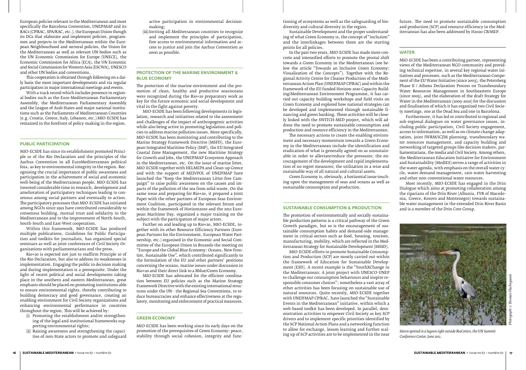European policies relevant to the Mediterranean and most specifically the Barcelona Convention, UNEP/MAP and its RACs (CP/RAC, SPA/RAC, etc.), the European Union though its DGs that elaborate and implement policies, programmes and projects in the Mediterranean within the European Neighbourhood and sectoral policies, the Union for the Mediterranean as well as relevant UN bodies such as the UN Economic Commission for Europe (UNECE), the Economic Commission for Africa (ECA), the UN Economic and Social Commission for Western Asia (ESCWA), UNESCO and other UN bodies and conventions.

This cooperation is obtained through following on a daily basis the most important developments and via regular participation in major international meetings and events.

With a track record which includes presence in regional bodies such as the Euro-Mediterranean Parliamentary Assembly, the Mediterranean Parliamentary Assembly and the League of Arab States and major national institutions such as the Parliaments of Mediterranean Countries (e.g. Croatia, Greece, Italy, Lebanon, etc.) MIO-ECSDE has remained in the forefront of policy-making in the region.

#### **PUBLIC PARTICIPATION**

MIO-ECSDE has since its establishment promoted Principle 10 of the Rio Declaration and the principles of the Aarhus Convention in all EuroMediterranean political fora, as key to environmental integrity in the region. Recognising the crucial importance of public awareness and participation in the achievement of social and economic well-being of the Mediterranean people, MIO-ECSDE has invested considerable time in research, development and amelioration of participatory techniques leading to consensus among social partners and eventually to action. The participatory processes that MIO-ECSDE has initiated among NGOs since 1991 have contributed considerably to consensus building, mutual trust and solidarity in the Mediterranean and to the improvement of North-South, South-South and East-West cooperation.

Within this framework, MIO-ECSDE has produced multiple publications, Guidelines for Public Participation and toolkits for journalists, has organized special seminars as well as joint conferences of Civil Society Organizations with parliamentarians and the press.

Rio+20 is expected not just to reaffirm Principle 10 of the Rio Declaration, but also to address its weaknesses in implementation. Engaging the public in decision making and during implementation is a prerequisite. Under the light of recent political and social developments taking place in the southern and eastern Mediterranean, great emphasis should be placed on promoting institutions able to ensure environmental rights, thereby contributing to building democracy and good governance, creating an enabling environment for Civil Society organizations and enhancing environmental performance in countries throughout the region. This will be achieved by:

- (i) Promoting the establishment and/or strengthening of the legal and institutional frameworks supporting environmental rights;
- (ii) Raising awareness and strengthening the capacities of non-State actors to promote and safeguard

active participation in environmental decisionmaking;

(iii)Inviting all Mediterranean countries to recognize and implement the principles of participation, free access to environmental information and access to justice and join the Aarhus Convention as soon as possible.

#### **PROTECTION OF THE MARINE ENVIRONMENT & BLUE ECONOMY**

The protection of the marine environment and the promotion of clean, healthy and productive seas/oceans were recognized during the Rio+20 preparatory work as key for the future economic and social development and vital in the fight against poverty.

MIO-ECSDE has been following developments in legislation, research and initiatives related to the assessment and challenges of the impact of anthropogenic activities while also being active in promoting legislation and policies to address marine pollution issues. More specifically, MIO-ECSDE has been monitoring and contributing to the Marine Strategy Framework Directive (MSFD), the European Integrated Maritime Policy (IMP), the EU Integrated Coastal Zone Management, the new Maritime Strategy for Growth and Jobs, the UNEP/MAP Ecosystem Approach in the Mediterranean, etc. On the issue of marine litter, MIO-ECSDE together with HELMEPA and Clean-up Greece and with the support of MED/POL of UNEP/MAP have launched the "Keep the Mediterranean Litter-free Campaign" to raise public awareness on the causes and impacts of the pollution of the sea from solid waste. On the same issue and preparing for Rio+20, it prepared a Joint Paper with the other partners of European Seas Environment Coalition, participated in the relevant forum and within the framework of Horizon2020 and the 2012 European Maritime Day, organized a major training on the subject with the participation of major actors.

Further on and leading up to Rio+20, MIO-ECSDE, together with its other Resource Efficiency Partners (European Partners for the Environment, European Water Partnership, etc.) organised in the Economic and Social Committee of the European Union in Brussels the meeting on "Europe and the Global Blue Economy: Oceans, New Frontier, Sustainable Use", which contributed significantly to the formulation of the EU and other partners' positions concerning the oceans, marine issues under discussion in Rio+20 and their direct link to a Bblue/Green Economy.

MIO-ECSDE has advocated for the efficient coordination between EU policies such as the Marine Strategy Framework Directive with the existing international structures under the UN - the Regional Sea Conventions, to reduce bureaucracies and enhance effectiveness at the regulatory, monitoring and enforcement of practical measures.

#### **GREEN ECONOMY**

MIO-ECSDE has been working since its early days on the promotion of the prerequisites of Green Economy: peace, stability through social cohesion, integrity and func-

tioning of ecosystems as well as the safeguarding of biodiversity and cultural diversity in the region.

Sustainable Development and the proper understanding of what Green Economy is, the concept of "inclusion" and the interlinkages between them are the starting points for all policies.

In the past two years, MIO-ECSDE has made more concrete and intensified efforts to promote the pivotal shift towards a Green Economy in the Mediterranean (see below the article "Towards an Inclusive Green Economy: Visualisation of the Concepts"). Together with the Regional Activity Centre for Cleaner Production of the Mediterranean Action Plan (UNEP/MAP CP/RAC) and within the framework of the EU funded Horizon 2020 Capacity Building/Mediterranean Environment Programme, it has carried out capacity building workshops and field visits on Green Economy and explored how national strategies can be developed and implemented through sustainable financing and green banking. These activities will be closely linked with the SWITCH-MED project, which will address the need to promote sustainable consumption and production and resource efficiency in the Mediterranean.

The necessary actions to create the enabling environment and necessary momentum towards a Green Economy in the Mediterranean include the identification and eradication of what is generally agreed on as unsustainable in order to alleviate/reduce the pressures; the encouragement of the development and rapid implementation of no regret measures; the utilization in a wise and sustainable way of all natural and cultural assets.

Green Economy is, obviously, a horizontal issue touching upon the management of seas and oceans as well as sustainable consumption and production.

#### **SUSTAINABLE CONSUMPTION & PRODUCTION**

The promotion of environmentally and socially sustainable production patterns is a critical pathway of the Green Growth paradigm, but so is the encouragement of sustainable consumption habits and demand-side management in critical sectors such as food, housing, tourism, manufacturing, mobility, which are reflected in the Mediterranean Strategy for Sustainable Development (MSSD).

MIO-ECSDE efforts to promote Sustainable Consumption and Production (SCP) are mostly carried out within the framework of Education for Sustainable Development (ESD). A recent example is the "YouthXChange in the Mediterranean: A joint project with UNESCO-UNEP to challenge our consumption behaviours and inspire responsible consumer choices"; nonetheless a vast array of other activities has been focusing on sustainable use of natural resources. Quite recently, MIO-ECSDE together with UNEP/MAP CP/RAC, have launched the "Sustainable Events in the Mediterranean" initiative, within which a web-based toolkit has been developed. In parallel, demonstration activities to empower Civil Society as key SCP drivers and to implement specific priorities identified by the SCP National Action Plans and a networking function to allow for exchange, lesson learning and further scaling up of SCP activities are to be implemented in the near future. The need to promote sustainable consumption and production (SCP) and resource efficiency in the Mediterranean has also been addressed by H2020 CB/MEP.

#### **WATER**

MIO-ECSDE has been a contributing partner, representing views of the Mediterranean NGO community and providing technical expertise, in several key regional water initiatives and processes, such as the Mediterranean Component of the EU Water Initiative (since 2003), the Petersberg Phase II / Athens Declaration Process on Transboundary Water Resources Management in Southeastern Europe (since 2005), and the elaboration of the draft Strategy for Water in the Mediterranean (2009-2010) for the discussion and finalisation of which it has organized two Civil Society meetings, one at the Dead Sea and one in Barcelona.

Furthermore, it has led or contributed to regional and sub-regional dialogues on water governance issues, including public participation, Civil Society engagement, access to information, as well as on climate change adaptation, joint IWRM/ICZM planning, transboundary water resources management, and capacity building and networking of targeted groups like decision makers, parliamentarians, the media and Civil Society. Among others, the Mediterranean Education Initiative for Environment and Sustainability (MedIES) serves a range of activities in the water agenda, with emphasis on the overall water cycle, water demand management, rain water harvesting and other non-conventional water resources.

Most recently, MIO-ECSDE has engaged in the Drin Dialogue which aims at promoting collaboration among the riparians of the Drin River (Albania, FYR of Macedonia, Greece, Kosovo and Montenegro) towards sustainable water management in the extended Drin River Basin and is a member of the Drin Core Group.



*Heron spotted in a lagoon right outside RioCentro, the UN Summit Conference Center, June 2012.* 

*Photograph: © Thomais Vlachogianni*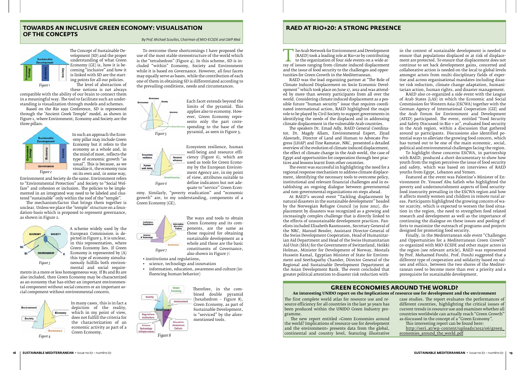#### **Green economies around the world? An interesting UNIDO report on the Implications of resource use for development and the environment**

The first complete world atlas for resource use and resource efficiency for all countries in the last 30 years has been produced within the UNIDO Green Industry programme.

> http://seri.at/wp-content/uploads/2012/06/green\_ economies\_around\_the\_world.pdf

The new report entitled «Green Economies around the world? Implications of resource use for development and the environment» presents data from the global, continental and country level, featuring illustrative

case studies. The report evaluates the performances of different countries, highlighting the critical issues of current trends in resource use and examines whether all countries worldwide can actually reach "Green Growth" as discussed in the concept of a "Green Economy".

This interesting report can be found here:

#### **Towards an Inclusive Green Economy: Visualisation of the Concepts**

*By Prof. Michael Scoullos, Chairman of MIO-ECSDE and GWP Med*

#### **RAED at Rio+20: a strong presence**



The Concept of Sustainable Development (SD) and the proper understanding of what Green Economy (GE) is, how it is becoming "inclusive" and how it is linked with SD are the starting points for all our policies. The level of abstraction of these notions is not always

compatible with the ability of our brain to connect them in a meaningful way. The tool to facilitate such an understanding is visualization through models and schemes.

Based on the Rio 1992 Conference, SD is represented through the "Ancient Greek Temple" model, as shown in Figure 1, where Environment, Economy and Society are the three pillars.



In such an approach the Economy pillar may include Green Economy but it refers to the economy as a whole and, in the mind of most, reflects the type of economic growth "as usual". This is because, as we visualize it, the economy runs on its own and, in some way,

Environment and Society do the same. Environment refers to "Environmental Protection" and Society to "Social Welfare" and cohesion or inclusion. The policies to be implemented in an integrated way need to be labeled and clustered "sustainable" only within the roof of the "temple".

The mechanism/factor that brings them together is unclear. Unless we place the "temple" structure on a foundation-basis which is proposed to represent governance, as shown in Figure 2.



The Arab Network for Environment and Development<br>
(RAED) took a leading role at Rio+20 by contributing<br>
to the organization of four side events on a wide ar-<br>
ray of issues ranging from climate induced displacement<br>
and th (RAED) took a leading role at Rio+20 by contributing to the organization of four side events on a wide arand the issue of food security to the challenges and opportunities for Green Growth in the Mediterranean.

A scheme widely used by the European Commission is depicted in Figure 3. It is unclear, in this representation, where Green Economy lies. If Green Economy is represented by (A) this type of economy simultaneously fulfills both environmental and social require-

ments in a more or less homogeneous way. If B1 and B2 are also included, then Green Economy may be characterized as an economy that has either an important environmental component without social concern or an important social component without environmental concern.



In many cases, this is in fact a depiction of the reality, which in my point of view, does not fulfill the criteria for the characterization of an economic activity as part of a Green Economy.

To overcome these shortcomings I have proposed the use of the most stable stereostructure of the world which is the "tetrahedron" (Figure 4). In this scheme, SD is included "within" Economy, Society and Environment while it is based on Governance. However, all four facets may equally serve as bases, while the contribution of each one of them in obtaining SD is differentiated according to the prevailing conditions, needs and circumstances.



Each facet extends beyond the limits of the pyramid. This applies also to economy. However, Green Economy represents only the part corresponding to the base of the pyramid, as seen in Figure 5.



Ecosystem resilience, human well-being and resource efficiency (Figure 6), which are used as tools for Green Economy by the European Environment Agency are, in my point of view, attributes suitable to define indicators but not adequate to "service" Green Econ-

omy. Similarly, "poverty eradication" and "economic growth" are, to my understanding, components of a Green Economy (GE).



The ways and tools to obtain

Green Economy and its components, are the same as those required for obtaining sustainable development as a whole and these are the basic constituents of Governance, also shown in Figure 7:

• institutions and regulations,

- • science, technology and innovation
- • information, education, awareness and culture (influencing human behavior)



Therefore, in the combined double pyramid (hexahedron – Figure 8), Green Economy, as part of Sustainable Development, is "serviced" by the aforementioned tools.

RAED was the lead organizing partner at "The Role of Climate Induced Displacement on Socio Economic Development" which took place on June 17, 2012 and was attended by more than seventy participants from all over the world. Considering climate induced displacement as a possible future "human security" issue that requires coordinated international action, RAED highlighted the major role to be played by Civil Society to support governments in identifying the needs of the displaced and in addressing climate displacement in the vulnerable Arab countries.

The speakers Dr. Emad Adly, RAED General Coordinator, Dr. Magdy Allam, Environmental Expert, Ziyad Alawneh, Director of Land and Human to Advocate Progress (LHAP) and Tine Ramstav, NRC, presented a detailed overview of the evolution of climate induced displacement, the effect of climate change in the Arab world, the case of Egypt and opportunities for cooperation through best practices and lessons learnt from other countries.

The event was successful in highlighting the need for a regional response mechanism to address climate displacement, identifying the necessary tools to overcome policy, institutional and relevant financial challenges and in establishing an ongoing dialogue between governmental and non-governmental organizations on steps ahead.

At RAED's second event "Tackling displacement by natural disasters in the sustainable development" headed by the Norwegian Refugee Council (19 June 2012), displacement by disasters was recognized as a growing and increasingly complex challenge that is directly linked to the effects of unsustainable development practices. Panelists included Elisabeth Rasmusson, Secretary General of the NRC, Manuel Bessler, Assistant Director-General of the Swiss Development Cooperation, Head of Humanitarian Aid Department and Head of the Swiss Humanitarian Aid Unit (SHA) for the Government of Switzerland, Heikki Holmas, Minister for Development of Norway, Mostafa Hussein Kamal, Egyptian Minister of State for Environment and Seethapathy Chander, Director General of the Regional and Sustainable Development Department at the Asian Development Bank. The event concluded that greater political attention to disaster risk reduction within the context of sustainable development is needed to ensure that populations displaced or at risk of displacement are protected. To ensure that displacement does not continue to set back development gains, concerted and collaborative action is needed on the local to global levels amongst actors from multi-disciplinary fields of expertise and across organisational mandates including disaster risk reduction, climate change adaptation, humanitarian action, human rights, and disaster management.

RAED also co-organized a side event with the League of Arab States (LAS) in which the Economic and Social Commission for Western Asia (ESCWA) together with the German Agency of International Cooperation (GIZ) and the Arab Forum for Environment and Development (AFED) participated. The event, entitled "Food Security and Safety Discussed in Rio + 20", evaluated food security in the Arab region, within a discussion that gathered around 50 participants. Discussions also identified potential ways to alleviate the growing food concern, which has turned out to be one of the main economic, social, political and environmental challenges facing the region.

To highlight these concerns ESCWA, in partnership with RAED, produced a short documentary to show how youth from the region perceives the issue of food security and safety, which was based on interviews of RAED youths from Egypt, Lebanon and Yemen.

Featured at the event was Palestine's Minister of Environment Dr. Youssef Abu Safieh who highlighted the poverty and undernourishment aspects of food securityfood insecurity prevailing in the ESCWA region and how it affects mostly women and children in remote rural areas. Participants highlighted the growing concern of water scarcity, which is expected to worsen the food situation in the region, the need to strengthen food related research and development as well as the importance of continuing the dialogue on these issues and pooling efforts to maximize the outreach of programs and projects designed for promoting food security.

Finally, in the Mediterranean side event "Challenges and Opportunities for a Mediterranean Green Growth" co-organized with MIO-ECSDE and other major actors in the region (see relevant article), RAED was represented by Prof. Mohamed Ftouhi. Prof. Ftouhi suggested that a different type of cooperation and solidarity based on values and ethics, between the two shores of the Mediterranean need to become more than ever a priority and a prerequisite for sustainable development.